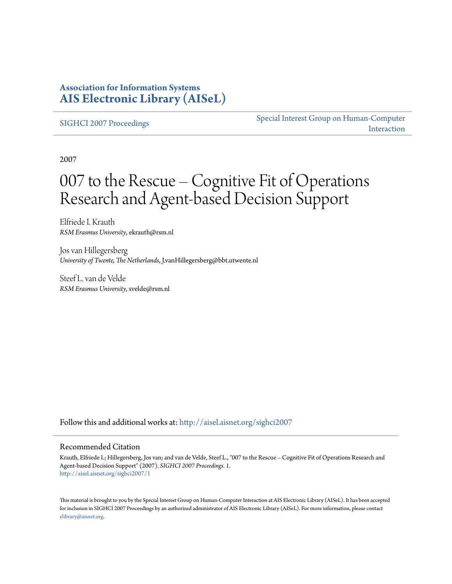### **Association for Information Systems [AIS Electronic Library \(AISeL\)](http://aisel.aisnet.org?utm_source=aisel.aisnet.org%2Fsighci2007%2F1&utm_medium=PDF&utm_campaign=PDFCoverPages)**

[SIGHCI 2007 Proceedings](http://aisel.aisnet.org/sighci2007?utm_source=aisel.aisnet.org%2Fsighci2007%2F1&utm_medium=PDF&utm_campaign=PDFCoverPages)

[Special Interest Group on Human-Computer](http://aisel.aisnet.org/sighci?utm_source=aisel.aisnet.org%2Fsighci2007%2F1&utm_medium=PDF&utm_campaign=PDFCoverPages) [Interaction](http://aisel.aisnet.org/sighci?utm_source=aisel.aisnet.org%2Fsighci2007%2F1&utm_medium=PDF&utm_campaign=PDFCoverPages)

2007

# 007 to the Rescue – Cognitive Fit of Operations Research and Agent-based Decision Support

Elfriede I. Krauth *RSM Erasmus University*, ekrauth@rsm.nl

Jos van Hillegersberg *University of Twente, The Netherlands*, J.vanHillegersberg@bbt.utwente.nl

Steef L. van de Velde *RSM Erasmus University*, svelde@rsm.nl

Follow this and additional works at: [http://aisel.aisnet.org/sighci2007](http://aisel.aisnet.org/sighci2007?utm_source=aisel.aisnet.org%2Fsighci2007%2F1&utm_medium=PDF&utm_campaign=PDFCoverPages)

#### Recommended Citation

Krauth, Elfriede I.; Hillegersberg, Jos van; and van de Velde, Steef L., "007 to the Rescue – Cognitive Fit of Operations Research and Agent-based Decision Support" (2007). *SIGHCI 2007 Proceedings*. 1. [http://aisel.aisnet.org/sighci2007/1](http://aisel.aisnet.org/sighci2007/1?utm_source=aisel.aisnet.org%2Fsighci2007%2F1&utm_medium=PDF&utm_campaign=PDFCoverPages)

This material is brought to you by the Special Interest Group on Human-Computer Interaction at AIS Electronic Library (AISeL). It has been accepted for inclusion in SIGHCI 2007 Proceedings by an authorized administrator of AIS Electronic Library (AISeL). For more information, please contact [elibrary@aisnet.org.](mailto:elibrary@aisnet.org%3E)